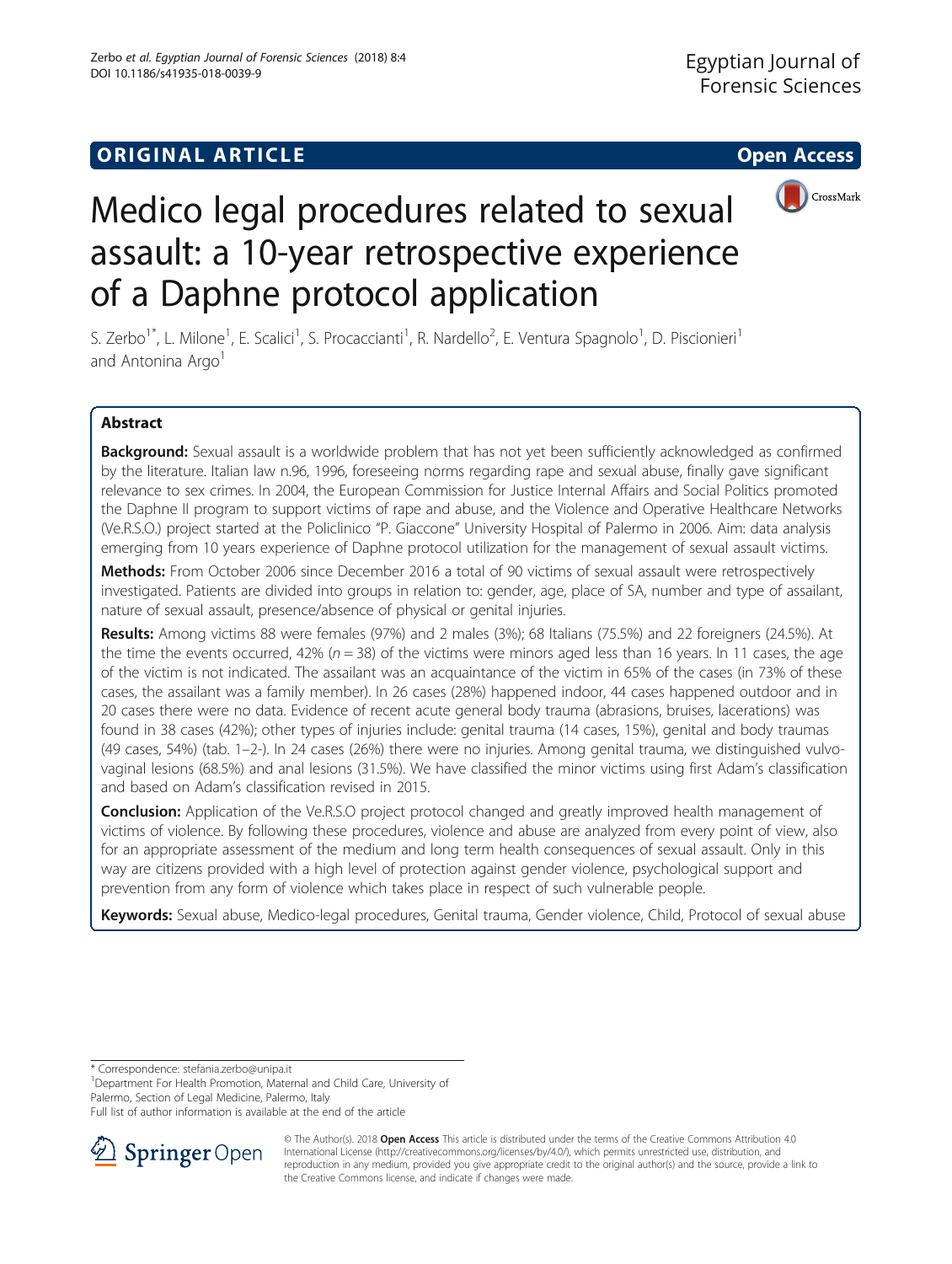## **ORIGINAL ARTICLE CONSUMING A LIGACION** CONSUMING A LIGACION CONSUMING A LIGACION CONSUMING A LIGACION CONSUMING A LIGACION CONSUMING A LIGACION CONSUMING A LIGACION CONSUMING A LIGACION CONSUMING A LIGACION CONSUMING A



# Medico legal procedures related to sexual assault: a 10-year retrospective experience of a Daphne protocol application

S. Zerbo<sup>1\*</sup>, L. Milone<sup>1</sup>, E. Scalici<sup>1</sup>, S. Procaccianti<sup>1</sup>, R. Nardello<sup>2</sup>, E. Ventura Spagnolo<sup>1</sup>, D. Piscionieri<sup>1</sup> and Antonina Argo<sup>1</sup>

## Abstract

Background: Sexual assault is a worldwide problem that has not yet been sufficiently acknowledged as confirmed by the literature. Italian law n.96, 1996, foreseeing norms regarding rape and sexual abuse, finally gave significant relevance to sex crimes. In 2004, the European Commission for Justice Internal Affairs and Social Politics promoted the Daphne II program to support victims of rape and abuse, and the Violence and Operative Healthcare Networks (Ve.R.S.O.) project started at the Policlinico "P. Giaccone" University Hospital of Palermo in 2006. Aim: data analysis emerging from 10 years experience of Daphne protocol utilization for the management of sexual assault victims.

Methods: From October 2006 since December 2016 a total of 90 victims of sexual assault were retrospectively investigated. Patients are divided into groups in relation to: gender, age, place of SA, number and type of assailant, nature of sexual assault, presence/absence of physical or genital injuries.

Results: Among victims 88 were females (97%) and 2 males (3%); 68 Italians (75.5%) and 22 foreigners (24.5%). At the time the events occurred, 42% ( $n = 38$ ) of the victims were minors aged less than 16 years. In 11 cases, the age of the victim is not indicated. The assailant was an acquaintance of the victim in 65% of the cases (in 73% of these cases, the assailant was a family member). In 26 cases (28%) happened indoor, 44 cases happened outdoor and in 20 cases there were no data. Evidence of recent acute general body trauma (abrasions, bruises, lacerations) was found in 38 cases (42%); other types of injuries include: genital trauma (14 cases, 15%), genital and body traumas (49 cases, 54%) (tab. 1–2-). In 24 cases (26%) there were no injuries. Among genital trauma, we distinguished vulvovaginal lesions (68.5%) and anal lesions (31.5%). We have classified the minor victims using first Adam's classification and based on Adam's classification revised in 2015.

**Conclusion:** Application of the Ve.R.S.O project protocol changed and greatly improved health management of victims of violence. By following these procedures, violence and abuse are analyzed from every point of view, also for an appropriate assessment of the medium and long term health consequences of sexual assault. Only in this way are citizens provided with a high level of protection against gender violence, psychological support and prevention from any form of violence which takes place in respect of such vulnerable people.

Keywords: Sexual abuse, Medico-legal procedures, Genital trauma, Gender violence, Child, Protocol of sexual abuse

\* Correspondence: [stefania.zerbo@unipa.it](mailto:stefania.zerbo@unipa.it) <sup>1</sup>

<sup>1</sup>Department For Health Promotion, Maternal and Child Care, University of Palermo, Section of Legal Medicine, Palermo, Italy

Full list of author information is available at the end of the article



© The Author(s). 2018 Open Access This article is distributed under the terms of the Creative Commons Attribution 4.0 International License ([http://creativecommons.org/licenses/by/4.0/\)](http://creativecommons.org/licenses/by/4.0/), which permits unrestricted use, distribution, and reproduction in any medium, provided you give appropriate credit to the original author(s) and the source, provide a link to the Creative Commons license, and indicate if changes were made.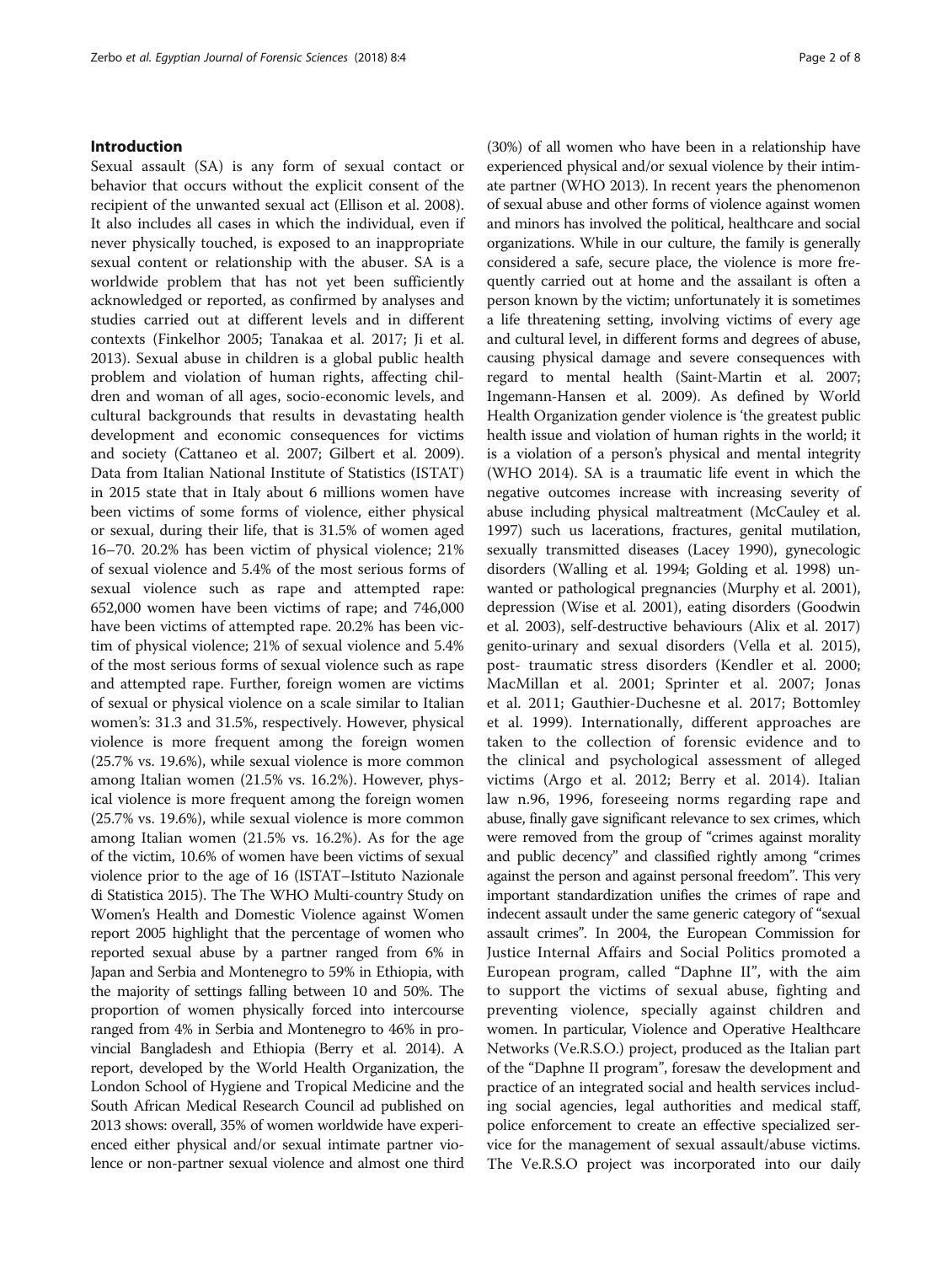## Introduction

Sexual assault (SA) is any form of sexual contact or behavior that occurs without the explicit consent of the recipient of the unwanted sexual act (Ellison et al. [2008](#page-7-0)). It also includes all cases in which the individual, even if never physically touched, is exposed to an inappropriate sexual content or relationship with the abuser. SA is a worldwide problem that has not yet been sufficiently acknowledged or reported, as confirmed by analyses and studies carried out at different levels and in different contexts (Finkelhor [2005](#page-7-0); Tanakaa et al. [2017](#page-7-0); Ji et al. [2013](#page-7-0)). Sexual abuse in children is a global public health problem and violation of human rights, affecting children and woman of all ages, socio-economic levels, and cultural backgrounds that results in devastating health development and economic consequences for victims and society (Cattaneo et al. [2007](#page-7-0); Gilbert et al. [2009](#page-7-0)). Data from Italian National Institute of Statistics (ISTAT) in 2015 state that in Italy about 6 millions women have been victims of some forms of violence, either physical or sexual, during their life, that is 31.5% of women aged 16–70. 20.2% has been victim of physical violence; 21% of sexual violence and 5.4% of the most serious forms of sexual violence such as rape and attempted rape: 652,000 women have been victims of rape; and 746,000 have been victims of attempted rape. 20.2% has been victim of physical violence; 21% of sexual violence and 5.4% of the most serious forms of sexual violence such as rape and attempted rape. Further, foreign women are victims of sexual or physical violence on a scale similar to Italian women's: 31.3 and 31.5%, respectively. However, physical violence is more frequent among the foreign women (25.7% vs. 19.6%), while sexual violence is more common among Italian women (21.5% vs. 16.2%). However, physical violence is more frequent among the foreign women (25.7% vs. 19.6%), while sexual violence is more common among Italian women (21.5% vs. 16.2%). As for the age of the victim, 10.6% of women have been victims of sexual violence prior to the age of 16 (ISTAT–Istituto Nazionale di Statistica [2015](#page-7-0)). The The WHO Multi-country Study on Women's Health and Domestic Violence against Women report 2005 highlight that the percentage of women who reported sexual abuse by a partner ranged from 6% in Japan and Serbia and Montenegro to 59% in Ethiopia, with the majority of settings falling between 10 and 50%. The proportion of women physically forced into intercourse ranged from 4% in Serbia and Montenegro to 46% in provincial Bangladesh and Ethiopia (Berry et al. [2014\)](#page-7-0). A report, developed by the World Health Organization, the London School of Hygiene and Tropical Medicine and the South African Medical Research Council ad published on 2013 shows: overall, 35% of women worldwide have experienced either physical and/or sexual intimate partner violence or non-partner sexual violence and almost one third (30%) of all women who have been in a relationship have experienced physical and/or sexual violence by their intimate partner (WHO [2013\)](#page-7-0). In recent years the phenomenon of sexual abuse and other forms of violence against women and minors has involved the political, healthcare and social organizations. While in our culture, the family is generally considered a safe, secure place, the violence is more frequently carried out at home and the assailant is often a person known by the victim; unfortunately it is sometimes a life threatening setting, involving victims of every age and cultural level, in different forms and degrees of abuse, causing physical damage and severe consequences with regard to mental health (Saint-Martin et al. [2007](#page-7-0); Ingemann-Hansen et al. [2009](#page-7-0)). As defined by World Health Organization gender violence is 'the greatest public health issue and violation of human rights in the world; it is a violation of a person's physical and mental integrity (WHO [2014](#page-7-0)). SA is a traumatic life event in which the negative outcomes increase with increasing severity of abuse including physical maltreatment (McCauley et al. [1997\)](#page-7-0) such us lacerations, fractures, genital mutilation, sexually transmitted diseases (Lacey [1990](#page-7-0)), gynecologic disorders (Walling et al. [1994](#page-7-0); Golding et al. [1998\)](#page-7-0) unwanted or pathological pregnancies (Murphy et al. [2001](#page-7-0)), depression (Wise et al. [2001](#page-7-0)), eating disorders (Goodwin et al. [2003](#page-7-0)), self-destructive behaviours (Alix et al. [2017](#page-7-0)) genito-urinary and sexual disorders (Vella et al. [2015](#page-7-0)), post- traumatic stress disorders (Kendler et al. [2000](#page-7-0); MacMillan et al. [2001](#page-7-0); Sprinter et al. [2007](#page-7-0); Jonas et al. [2011;](#page-7-0) Gauthier-Duchesne et al. [2017](#page-7-0); Bottomley et al. [1999\)](#page-7-0). Internationally, different approaches are taken to the collection of forensic evidence and to the clinical and psychological assessment of alleged victims (Argo et al. [2012;](#page-7-0) Berry et al. [2014](#page-7-0)). Italian law n.96, 1996, foreseeing norms regarding rape and abuse, finally gave significant relevance to sex crimes, which were removed from the group of "crimes against morality and public decency" and classified rightly among "crimes against the person and against personal freedom". This very important standardization unifies the crimes of rape and indecent assault under the same generic category of "sexual assault crimes". In 2004, the European Commission for Justice Internal Affairs and Social Politics promoted a European program, called "Daphne II", with the aim to support the victims of sexual abuse, fighting and preventing violence, specially against children and women. In particular, Violence and Operative Healthcare Networks (Ve.R.S.O.) project, produced as the Italian part of the "Daphne II program", foresaw the development and practice of an integrated social and health services including social agencies, legal authorities and medical staff, police enforcement to create an effective specialized service for the management of sexual assault/abuse victims. The Ve.R.S.O project was incorporated into our daily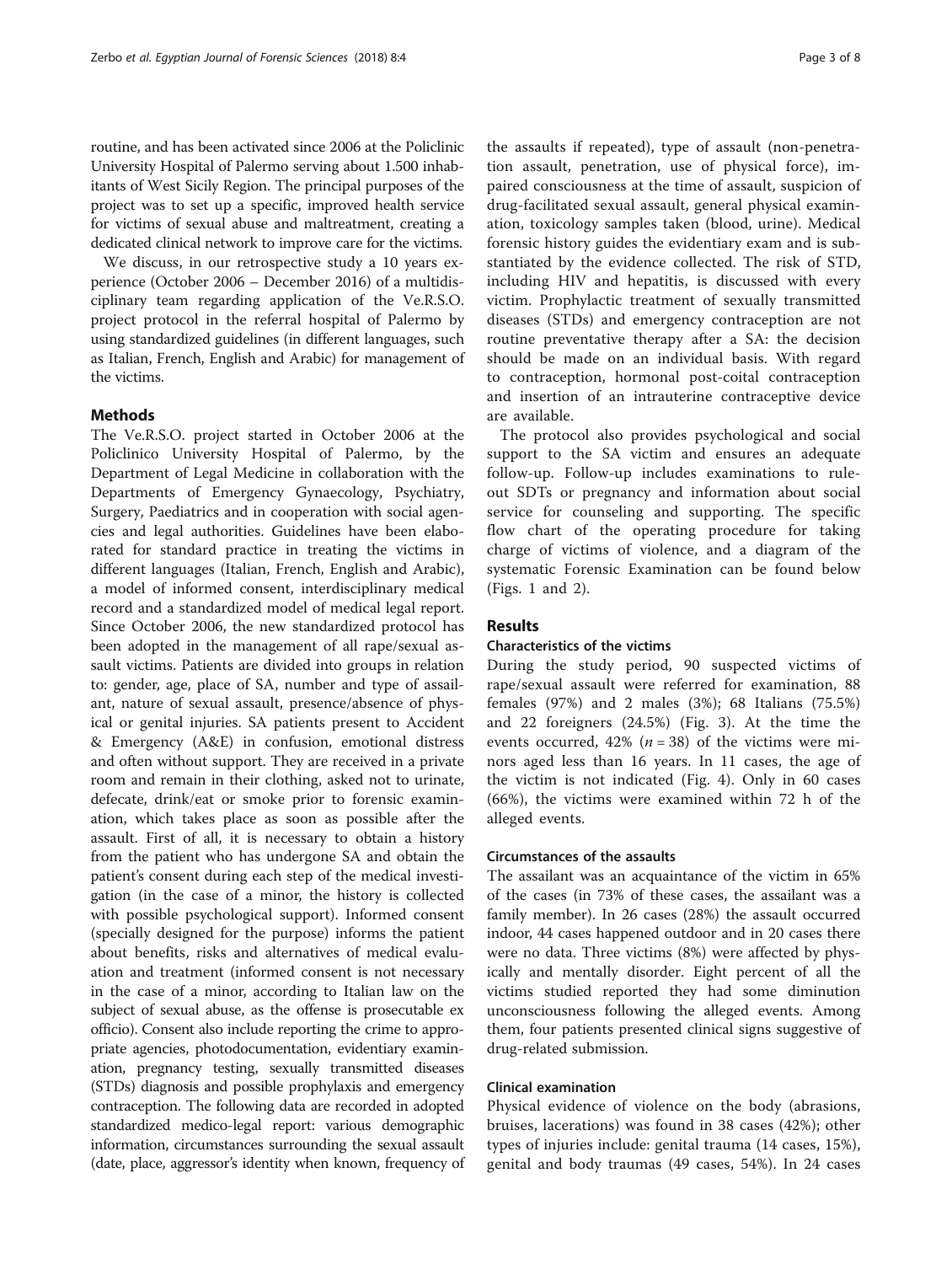routine, and has been activated since 2006 at the Policlinic University Hospital of Palermo serving about 1.500 inhabitants of West Sicily Region. The principal purposes of the project was to set up a specific, improved health service for victims of sexual abuse and maltreatment, creating a dedicated clinical network to improve care for the victims.

We discuss, in our retrospective study a 10 years experience (October 2006 – December 2016) of a multidisciplinary team regarding application of the Ve.R.S.O. project protocol in the referral hospital of Palermo by using standardized guidelines (in different languages, such as Italian, French, English and Arabic) for management of the victims.

## Methods

The Ve.R.S.O. project started in October 2006 at the Policlinico University Hospital of Palermo, by the Department of Legal Medicine in collaboration with the Departments of Emergency Gynaecology, Psychiatry, Surgery, Paediatrics and in cooperation with social agencies and legal authorities. Guidelines have been elaborated for standard practice in treating the victims in different languages (Italian, French, English and Arabic), a model of informed consent, interdisciplinary medical record and a standardized model of medical legal report. Since October 2006, the new standardized protocol has been adopted in the management of all rape/sexual assault victims. Patients are divided into groups in relation to: gender, age, place of SA, number and type of assailant, nature of sexual assault, presence/absence of physical or genital injuries. SA patients present to Accident & Emergency (A&E) in confusion, emotional distress and often without support. They are received in a private room and remain in their clothing, asked not to urinate, defecate, drink/eat or smoke prior to forensic examination, which takes place as soon as possible after the assault. First of all, it is necessary to obtain a history from the patient who has undergone SA and obtain the patient's consent during each step of the medical investigation (in the case of a minor, the history is collected with possible psychological support). Informed consent (specially designed for the purpose) informs the patient about benefits, risks and alternatives of medical evaluation and treatment (informed consent is not necessary in the case of a minor, according to Italian law on the subject of sexual abuse, as the offense is prosecutable ex officio). Consent also include reporting the crime to appropriate agencies, photodocumentation, evidentiary examination, pregnancy testing, sexually transmitted diseases (STDs) diagnosis and possible prophylaxis and emergency contraception. The following data are recorded in adopted standardized medico-legal report: various demographic information, circumstances surrounding the sexual assault (date, place, aggressor's identity when known, frequency of

the assaults if repeated), type of assault (non-penetration assault, penetration, use of physical force), impaired consciousness at the time of assault, suspicion of drug-facilitated sexual assault, general physical examination, toxicology samples taken (blood, urine). Medical forensic history guides the evidentiary exam and is substantiated by the evidence collected. The risk of STD, including HIV and hepatitis, is discussed with every victim. Prophylactic treatment of sexually transmitted diseases (STDs) and emergency contraception are not routine preventative therapy after a SA: the decision should be made on an individual basis. With regard to contraception, hormonal post-coital contraception and insertion of an intrauterine contraceptive device are available.

The protocol also provides psychological and social support to the SA victim and ensures an adequate follow-up. Follow-up includes examinations to ruleout SDTs or pregnancy and information about social service for counseling and supporting. The specific flow chart of the operating procedure for taking charge of victims of violence, and a diagram of the systematic Forensic Examination can be found below (Figs. [1](#page-3-0) and [2\)](#page-4-0).

## Results

## Characteristics of the victims

During the study period, 90 suspected victims of rape/sexual assault were referred for examination, 88 females (97%) and 2 males (3%); 68 Italians (75.5%) and 22 foreigners (24.5%) (Fig. [3\)](#page-4-0). At the time the events occurred,  $42\%$  ( $n = 38$ ) of the victims were minors aged less than 16 years. In 11 cases, the age of the victim is not indicated (Fig. [4](#page-5-0)). Only in 60 cases (66%), the victims were examined within 72 h of the alleged events.

## Circumstances of the assaults

The assailant was an acquaintance of the victim in 65% of the cases (in 73% of these cases, the assailant was a family member). In 26 cases (28%) the assault occurred indoor, 44 cases happened outdoor and in 20 cases there were no data. Three victims (8%) were affected by physically and mentally disorder. Eight percent of all the victims studied reported they had some diminution unconsciousness following the alleged events. Among them, four patients presented clinical signs suggestive of drug-related submission.

## Clinical examination

Physical evidence of violence on the body (abrasions, bruises, lacerations) was found in 38 cases (42%); other types of injuries include: genital trauma (14 cases, 15%), genital and body traumas (49 cases, 54%). In 24 cases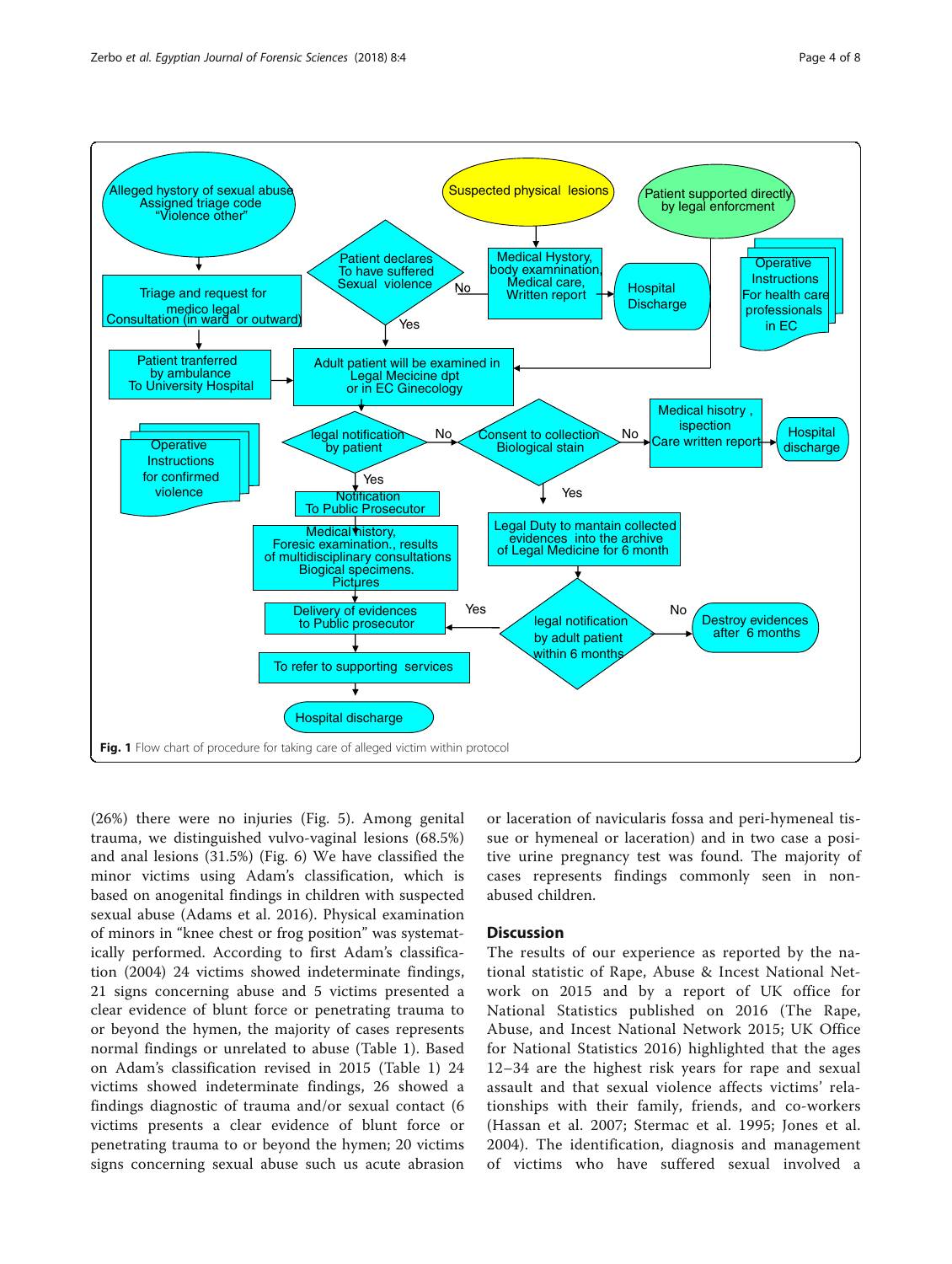<span id="page-3-0"></span>

(26%) there were no injuries (Fig. [5](#page-5-0)). Among genital trauma, we distinguished vulvo-vaginal lesions (68.5%) and anal lesions (31.5%) (Fig. [6](#page-5-0)) We have classified the minor victims using Adam's classification, which is based on anogenital findings in children with suspected sexual abuse (Adams et al. [2016](#page-7-0)). Physical examination of minors in "knee chest or frog position" was systematically performed. According to first Adam's classification (2004) 24 victims showed indeterminate findings, 21 signs concerning abuse and 5 victims presented a clear evidence of blunt force or penetrating trauma to or beyond the hymen, the majority of cases represents normal findings or unrelated to abuse (Table [1](#page-6-0)). Based on Adam's classification revised in 2015 (Table [1\)](#page-6-0) 24 victims showed indeterminate findings, 26 showed a findings diagnostic of trauma and/or sexual contact (6 victims presents a clear evidence of blunt force or penetrating trauma to or beyond the hymen; 20 victims signs concerning sexual abuse such us acute abrasion or laceration of navicularis fossa and peri-hymeneal tissue or hymeneal or laceration) and in two case a positive urine pregnancy test was found. The majority of cases represents findings commonly seen in nonabused children.

## **Discussion**

The results of our experience as reported by the national statistic of Rape, Abuse & Incest National Network on 2015 and by a report of UK office for National Statistics published on 2016 (The Rape, Abuse, and Incest National Network [2015;](#page-7-0) UK Office for National Statistics [2016\)](#page-7-0) highlighted that the ages 12–34 are the highest risk years for rape and sexual assault and that sexual violence affects victims' relationships with their family, friends, and co-workers (Hassan et al. [2007](#page-7-0); Stermac et al. [1995;](#page-7-0) Jones et al. [2004](#page-7-0)). The identification, diagnosis and management of victims who have suffered sexual involved a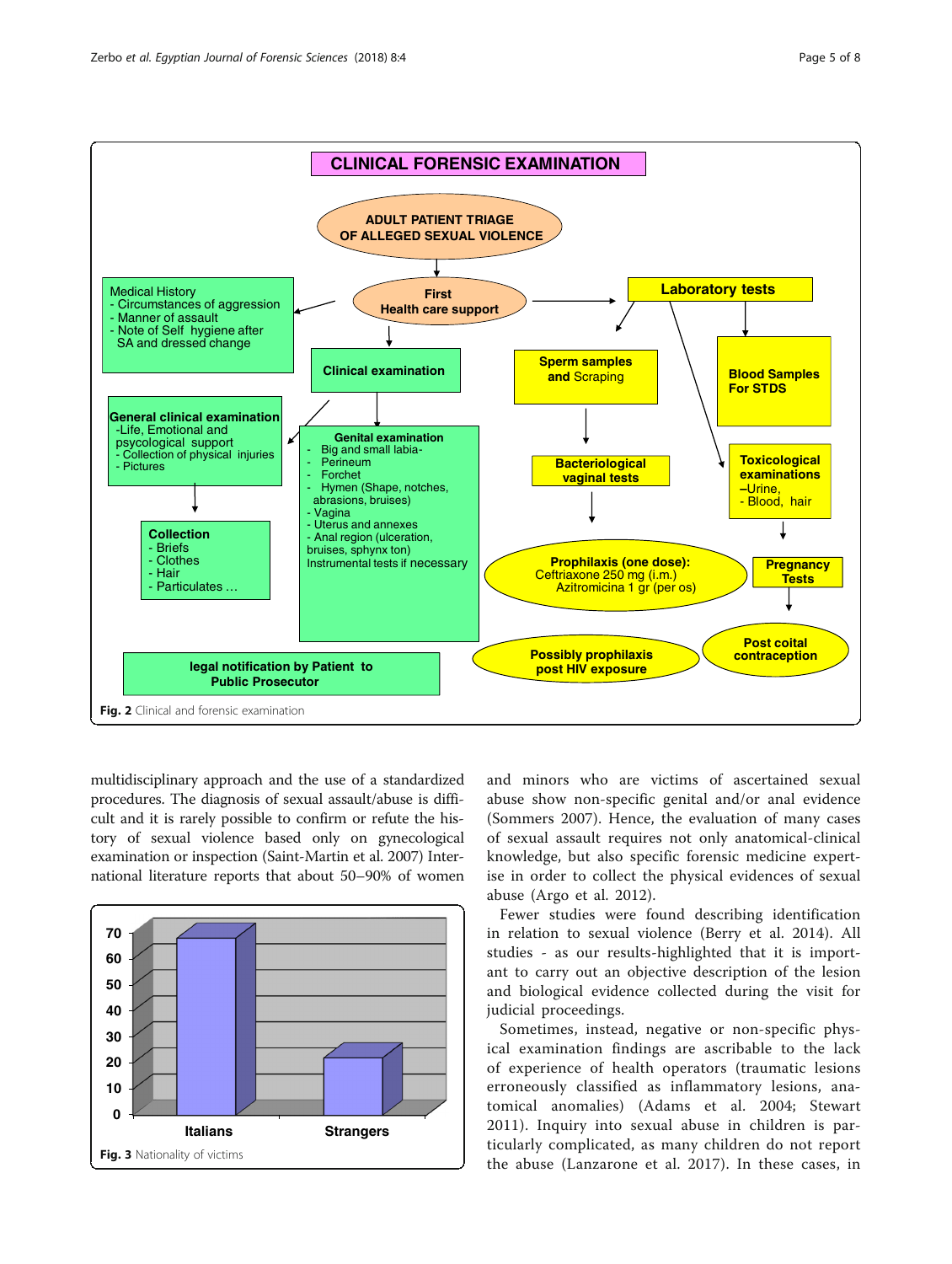<span id="page-4-0"></span>

multidisciplinary approach and the use of a standardized procedures. The diagnosis of sexual assault/abuse is difficult and it is rarely possible to confirm or refute the history of sexual violence based only on gynecological examination or inspection (Saint-Martin et al. [2007\)](#page-7-0) International literature reports that about 50–90% of women



and minors who are victims of ascertained sexual abuse show non-specific genital and/or anal evidence (Sommers [2007](#page-7-0)). Hence, the evaluation of many cases of sexual assault requires not only anatomical-clinical knowledge, but also specific forensic medicine expertise in order to collect the physical evidences of sexual abuse (Argo et al. [2012](#page-7-0)).

Fewer studies were found describing identification in relation to sexual violence (Berry et al. [2014\)](#page-7-0). All studies - as our results-highlighted that it is important to carry out an objective description of the lesion and biological evidence collected during the visit for judicial proceedings.

Sometimes, instead, negative or non-specific physical examination findings are ascribable to the lack of experience of health operators (traumatic lesions erroneously classified as inflammatory lesions, anatomical anomalies) (Adams et al. [2004;](#page-7-0) Stewart [2011](#page-7-0)). Inquiry into sexual abuse in children is particularly complicated, as many children do not report the abuse (Lanzarone et al. [2017\)](#page-7-0). In these cases, in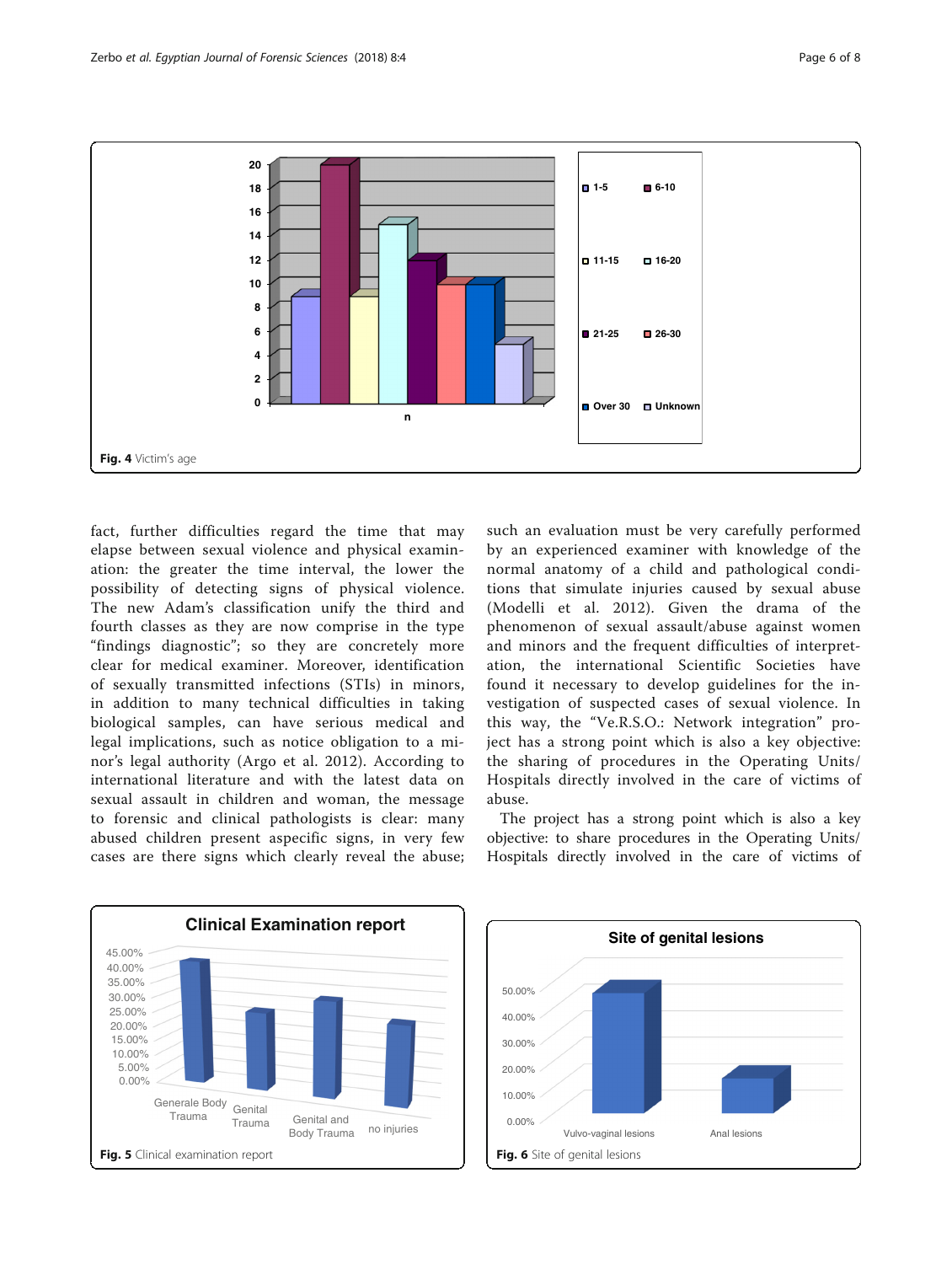<span id="page-5-0"></span>

fact, further difficulties regard the time that may elapse between sexual violence and physical examination: the greater the time interval, the lower the possibility of detecting signs of physical violence. The new Adam's classification unify the third and fourth classes as they are now comprise in the type "findings diagnostic"; so they are concretely more clear for medical examiner. Moreover, identification of sexually transmitted infections (STIs) in minors, in addition to many technical difficulties in taking biological samples, can have serious medical and legal implications, such as notice obligation to a minor's legal authority (Argo et al. [2012\)](#page-7-0). According to international literature and with the latest data on sexual assault in children and woman, the message to forensic and clinical pathologists is clear: many abused children present aspecific signs, in very few cases are there signs which clearly reveal the abuse;

such an evaluation must be very carefully performed by an experienced examiner with knowledge of the normal anatomy of a child and pathological conditions that simulate injuries caused by sexual abuse (Modelli et al. [2012](#page-7-0)). Given the drama of the phenomenon of sexual assault/abuse against women and minors and the frequent difficulties of interpretation, the international Scientific Societies have found it necessary to develop guidelines for the investigation of suspected cases of sexual violence. In this way, the "Ve.R.S.O.: Network integration" project has a strong point which is also a key objective: the sharing of procedures in the Operating Units/ Hospitals directly involved in the care of victims of abuse.

The project has a strong point which is also a key objective: to share procedures in the Operating Units/ Hospitals directly involved in the care of victims of



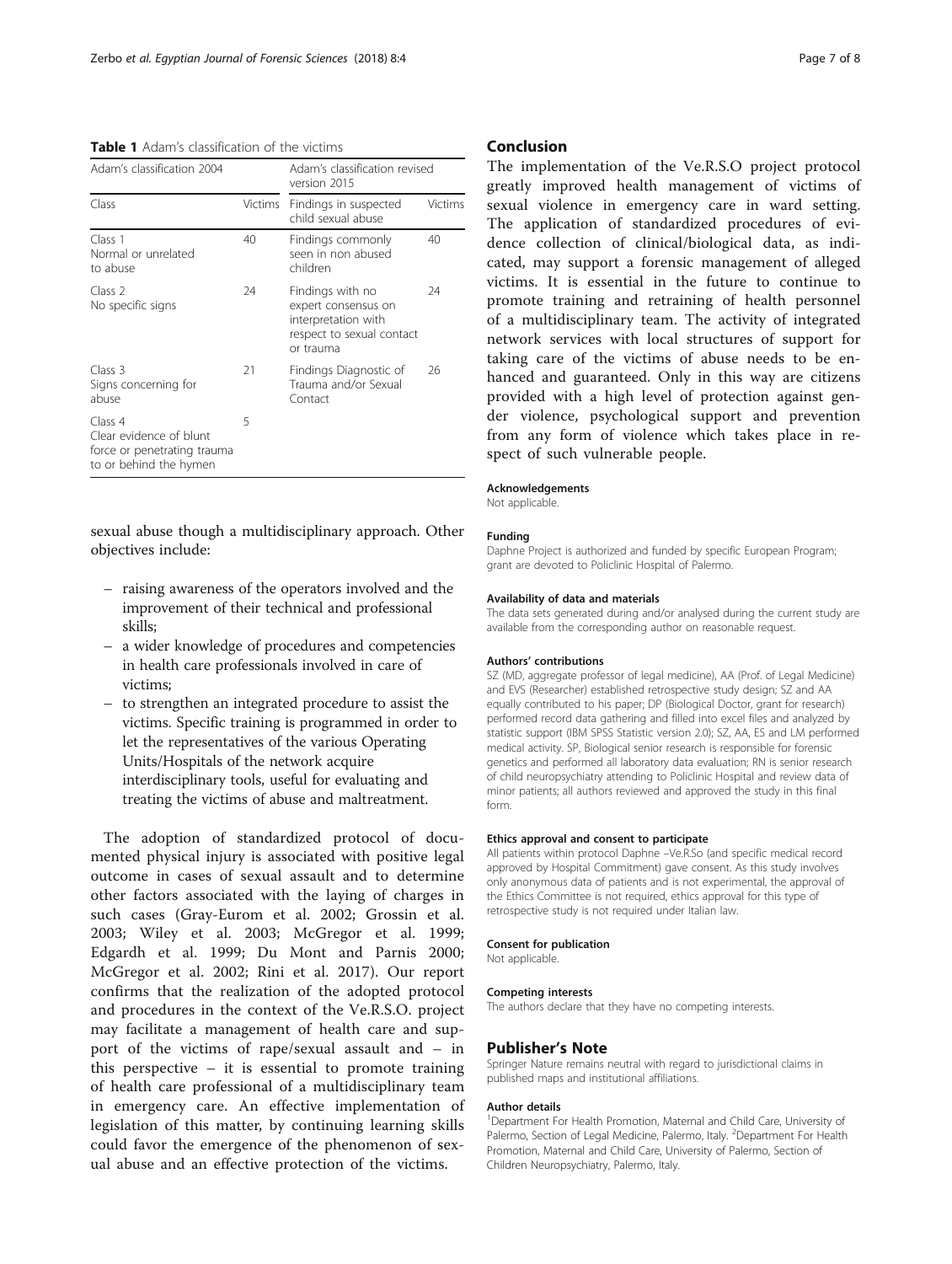<span id="page-6-0"></span>Table 1 Adam's classification of the victims

| Adam's classification 2004                                                                  |         | Adam's classification revised<br>version 2015                                                            |         |
|---------------------------------------------------------------------------------------------|---------|----------------------------------------------------------------------------------------------------------|---------|
| Class                                                                                       | Victims | Findings in suspected<br>child sexual abuse                                                              | Victims |
| Class 1<br>Normal or unrelated<br>to abuse                                                  | 40      | Findings commonly<br>seen in non abused<br>children                                                      | 40      |
| Class 2<br>No specific signs                                                                | 24      | Findings with no<br>expert consensus on<br>interpretation with<br>respect to sexual contact<br>or trauma | 24      |
| Class 3<br>Signs concerning for<br>abuse                                                    | 21      | Findings Diagnostic of<br>Trauma and/or Sexual<br>Contact                                                | 26      |
| Class 4<br>Clear evidence of blunt<br>force or penetrating trauma<br>to or behind the hymen | 5       |                                                                                                          |         |

sexual abuse though a multidisciplinary approach. Other objectives include:

- raising awareness of the operators involved and the improvement of their technical and professional skills;
- a wider knowledge of procedures and competencies in health care professionals involved in care of victims;
- to strengthen an integrated procedure to assist the victims. Specific training is programmed in order to let the representatives of the various Operating Units/Hospitals of the network acquire interdisciplinary tools, useful for evaluating and treating the victims of abuse and maltreatment.

The adoption of standardized protocol of documented physical injury is associated with positive legal outcome in cases of sexual assault and to determine other factors associated with the laying of charges in such cases (Gray-Eurom et al. [2002](#page-7-0); Grossin et al. [2003;](#page-7-0) Wiley et al. [2003](#page-7-0); McGregor et al. [1999](#page-7-0); Edgardh et al. [1999](#page-7-0); Du Mont and Parnis [2000](#page-7-0); McGregor et al. [2002](#page-7-0); Rini et al. [2017](#page-7-0)). Our report confirms that the realization of the adopted protocol and procedures in the context of the Ve.R.S.O. project may facilitate a management of health care and support of the victims of rape/sexual assault and – in this perspective  $-$  it is essential to promote training of health care professional of a multidisciplinary team in emergency care. An effective implementation of legislation of this matter, by continuing learning skills could favor the emergence of the phenomenon of sexual abuse and an effective protection of the victims.

## Conclusion

The implementation of the Ve.R.S.O project protocol greatly improved health management of victims of sexual violence in emergency care in ward setting. The application of standardized procedures of evidence collection of clinical/biological data, as indicated, may support a forensic management of alleged victims. It is essential in the future to continue to promote training and retraining of health personnel of a multidisciplinary team. The activity of integrated network services with local structures of support for taking care of the victims of abuse needs to be enhanced and guaranteed. Only in this way are citizens provided with a high level of protection against gender violence, psychological support and prevention from any form of violence which takes place in respect of such vulnerable people.

#### Acknowledgements

Not applicable.

#### Funding

Daphne Project is authorized and funded by specific European Program; grant are devoted to Policlinic Hospital of Palermo.

#### Availability of data and materials

The data sets generated during and/or analysed during the current study are available from the corresponding author on reasonable request.

#### Authors' contributions

SZ (MD, aggregate professor of legal medicine), AA (Prof. of Legal Medicine) and EVS (Researcher) established retrospective study design; SZ and AA equally contributed to his paper; DP (Biological Doctor, grant for research) performed record data gathering and filled into excel files and analyzed by statistic support (IBM SPSS Statistic version 2.0); SZ, AA, ES and LM performed medical activity. SP, Biological senior research is responsible for forensic genetics and performed all laboratory data evaluation; RN is senior research of child neuropsychiatry attending to Policlinic Hospital and review data of minor patients; all authors reviewed and approved the study in this final form.

#### Ethics approval and consent to participate

All patients within protocol Daphne –Ve.R.So (and specific medical record approved by Hospital Commitment) gave consent. As this study involves only anonymous data of patients and is not experimental, the approval of the Ethics Committee is not required, ethics approval for this type of retrospective study is not required under Italian law.

#### Consent for publication

Not applicable.

#### Competing interests

The authors declare that they have no competing interests.

#### Publisher's Note

Springer Nature remains neutral with regard to jurisdictional claims in published maps and institutional affiliations.

#### Author details

<sup>1</sup>Department For Health Promotion, Maternal and Child Care, University of Palermo, Section of Legal Medicine, Palermo, Italy. <sup>2</sup>Department For Health Promotion, Maternal and Child Care, University of Palermo, Section of Children Neuropsychiatry, Palermo, Italy.